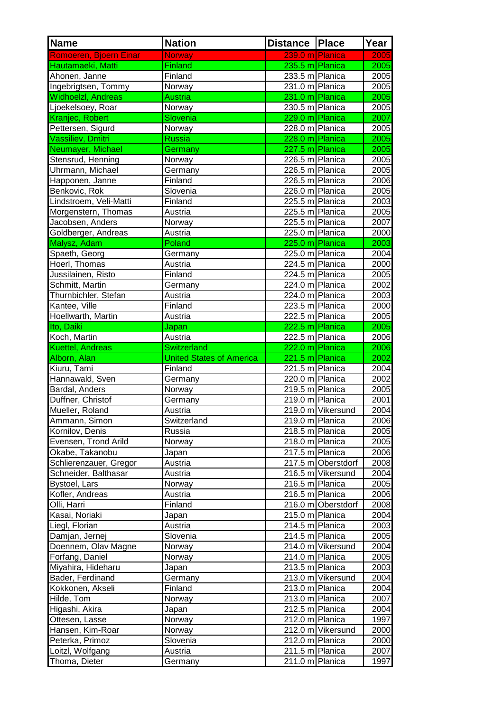| <u><b>Name</b></u>      | <b>Nation</b>                   | <b>Distance Place</b> |                    | Year |
|-------------------------|---------------------------------|-----------------------|--------------------|------|
| Romoeren, Bjoern Einar  | <b>Norway</b>                   | 239.0 m Planica       |                    | 2005 |
| Hautamaeki, Matti       | Finland                         | 235.5 m Planica       |                    | 2005 |
| Ahonen, Janne           | Finland                         | 233.5 m Planica       |                    | 2005 |
| Ingebrigtsen, Tommy     | Norway                          | 231.0 m Planica       |                    | 2005 |
| Widhoelzl, Andreas      | Austria                         | 231.0 m Planica       |                    | 2005 |
| Ljoekelsoey, Roar       | Norway                          | 230.5 m Planica       |                    | 2005 |
| Kranjec, Robert         | Slovenia                        | 229.0 m Planica       |                    | 2007 |
| Pettersen, Sigurd       | Norway                          | 228.0 m Planica       |                    | 2005 |
| Vassiliev, Dmitri       | <b>Russia</b>                   | 228.0 m Planica       |                    | 2005 |
| Neumayer, Michael       | Germany                         | 227.5 m Planica       |                    | 2005 |
| Stensrud, Henning       | Norway                          | 226.5 m Planica       |                    | 2005 |
| Uhrmann, Michael        | Germany                         | 226.5 m Planica       |                    | 2005 |
| Happonen, Janne         | Finland                         | 226.5 m Planica       |                    | 2006 |
| Benkovic, Rok           | Slovenia                        | 226.0 m Planica       |                    | 2005 |
| Lindstroem, Veli-Matti  | Finland                         | 225.5 m Planica       |                    | 2003 |
| Morgenstern, Thomas     | Austria                         | 225.5 m Planica       |                    | 2005 |
| Jacobsen, Anders        | Norway                          | 225.5 m Planica       |                    | 2007 |
| Goldberger, Andreas     | Austria                         | 225.0 m Planica       |                    | 2000 |
| Malysz, Adam            | Poland                          | 225.0 m Planica       |                    | 2003 |
| Spaeth, Georg           | Germany                         | 225.0 m Planica       |                    | 2004 |
| Hoerl, Thomas           | Austria                         | 224.5 m Planica       |                    | 2000 |
| Jussilainen, Risto      | Finland                         | 224.5 m Planica       |                    | 2005 |
| Schmitt, Martin         | Germany                         | 224.0 m Planica       |                    | 2002 |
| Thurnbichler, Stefan    | Austria                         | 224.0 m Planica       |                    | 2003 |
| Kantee, Ville           | Finland                         | 223.5 m Planica       |                    | 2000 |
| Hoellwarth, Martin      | Austria                         | 222.5 m Planica       |                    | 2005 |
| Ito, Daiki              | Japan                           | 222.5 m Planica       |                    | 2005 |
| Koch, Martin            | Austria                         | 222.5 m Planica       |                    | 2006 |
| <b>Kuettel, Andreas</b> | <b>Switzerland</b>              | 222.0 m Planica       |                    | 2006 |
| Alborn, Alan            | <b>United States of America</b> | 221.5 m Planica       |                    | 2002 |
| Kiuru, Tami             | Finland                         | 221.5 m Planica       |                    | 2004 |
| Hannawald, Sven         | Germany                         | 220.0 m Planica       |                    | 2002 |
| Bardal, Anders          | Norway                          | 219.5 m Planica       |                    | 2005 |
| Duffner, Christof       | Germany                         | 219.0 m Planica       |                    | 2001 |
| Mueller, Roland         | Austria                         |                       | 219.0 m Vikersund  | 2004 |
| Ammann, Simon           | Switzerland                     | 219.0 m Planica       |                    | 2006 |
| Kornilov, Denis         | Russia                          | 218.5 m Planica       |                    | 2005 |
| Evensen, Trond Arild    | Norway                          | 218.0 m Planica       |                    | 2005 |
| Okabe, Takanobu         | Japan                           | 217.5 m Planica       |                    | 2006 |
| Schlierenzauer, Gregor  | Austria                         |                       | 217.5 m Oberstdorf | 2008 |
| Schneider, Balthasar    | Austria                         |                       | 216.5 m Vikersund  | 2004 |
| <b>Bystoel, Lars</b>    | Norway                          | 216.5 m Planica       |                    | 2005 |
| Kofler, Andreas         | Austria                         | 216.5 m Planica       |                    | 2006 |
| Olli, Harri             | Finland                         |                       | 216.0 m Oberstdorf | 2008 |
| Kasai, Noriaki          | Japan                           | 215.0 m Planica       |                    | 2004 |
| Liegl, Florian          | Austria                         | 214.5 m Planica       |                    | 2003 |
| Damjan, Jernej          | Slovenia                        | 214.5 m Planica       |                    | 2005 |
| Doennem, Olav Magne     | Norway                          |                       | 214.0 m Vikersund  | 2004 |
|                         |                                 | 214.0 m Planica       |                    |      |
| Forfang, Daniel         | Norway                          | 213.5 m Planica       |                    | 2005 |
| Miyahira, Hideharu      | Japan                           |                       |                    | 2003 |
| Bader, Ferdinand        | Germany                         |                       | 213.0 m Vikersund  | 2004 |
| Kokkonen, Akseli        | Finland                         | 213.0 m Planica       |                    | 2004 |
| Hilde, Tom              | Norway                          | 213.0 m Planica       |                    | 2007 |
| Higashi, Akira          | Japan                           | 212.5 m Planica       |                    | 2004 |
| Ottesen, Lasse          | Norway                          | 212.0 m Planica       |                    | 1997 |
| Hansen, Kim-Roar        | Norway                          |                       | 212.0 m Vikersund  | 2000 |
| Peterka, Primoz         | Slovenia                        | 212.0 m Planica       |                    | 2000 |
| Loitzl, Wolfgang        | Austria                         | 211.5 m Planica       |                    | 2007 |
| Thoma, Dieter           | Germany                         | 211.0 m Planica       |                    | 1997 |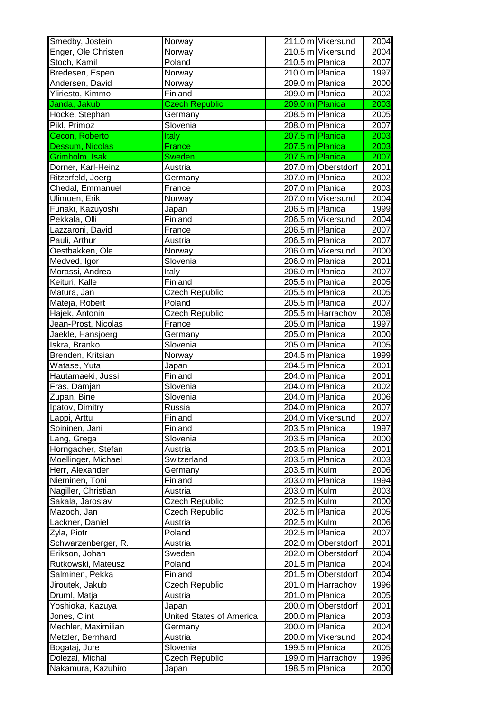| Smedby, Jostein     | Norway                   | 211.0 m Vikersund  | 2004  |
|---------------------|--------------------------|--------------------|-------|
| Enger, Ole Christen | Norway                   | 210.5 m Vikersund  | 2004  |
| Stoch, Kamil        | Poland                   | 210.5 m Planica    | 2007  |
| Bredesen, Espen     | Norway                   | 210.0 m Planica    | 1997  |
| Andersen, David     | Norway                   | 209.0 m Planica    | 2000  |
| Yliriesto, Kimmo    | Finland                  | 209.0 m Planica    | 2002  |
| Janda, Jakub        | <b>Czech Republic</b>    | 209.0 m Planica    | 2003  |
| Hocke, Stephan      | Germany                  | 208.5 m Planica    | 2005  |
| Pikl, Primoz        | Slovenia                 | 208.0 m Planica    | 2007  |
| Cecon, Roberto      | <b>Italy</b>             | 207.5 m Planica    | 2003  |
| Dessum, Nicolas     | France                   | 207.5 m Planica    | 2003  |
| Grimholm, Isak      | Sweden                   | 207.5 m Planica    | 2007  |
| Dorner, Karl-Heinz  | Austria                  | 207.0 m Oberstdorf | 2001  |
| Ritzerfeld, Joerg   | Germany                  | 207.0 m Planica    | 2002  |
| Chedal, Emmanuel    | France                   | 207.0 m Planica    | 2003  |
| Ulimoen, Erik       | Norway                   | 207.0 m Vikersund  | 2004  |
| Funaki, Kazuyoshi   |                          | 206.5 m Planica    | 1999  |
|                     | Japan                    | 206.5 m Vikersund  |       |
| Pekkala, Olli       | Finland                  |                    | 2004  |
| Lazzaroni, David    | France                   | 206.5 m Planica    | 2007  |
| Pauli, Arthur       | Austria                  | 206.5 m Planica    | 2007  |
| Oestbakken, Ole     | Norway                   | 206.0 m Vikersund  | 2000  |
| Medved, Igor        | Slovenia                 | 206.0 m Planica    | 2001  |
| Morassi, Andrea     | Italy                    | 206.0 m Planica    | 2007  |
| Keituri, Kalle      | Finland                  | 205.5 m Planica    | 2005  |
| Matura, Jan         | Czech Republic           | 205.5 m Planica    | 2005  |
| Mateja, Robert      | Poland                   | 205.5 m Planica    | 2007  |
| Hajek, Antonin      | Czech Republic           | 205.5 m Harrachov  | 2008  |
| Jean-Prost, Nicolas | France                   | 205.0 m Planica    | 1997  |
| Jaekle, Hansjoerg   | Germany                  | 205.0 m Planica    | 2000  |
| Iskra, Branko       | Slovenia                 | 205.0 m Planica    | 2005  |
| Brenden, Kritsian   | Norway                   | 204.5 m Planica    | 1999  |
| Watase, Yuta        | Japan                    | 204.5 m Planica    | 2001  |
| Hautamaeki, Jussi   | Finland                  | 204.0 m Planica    | 2001  |
| Fras, Damjan        | Slovenia                 | 204.0 m Planica    | 2002  |
| Zupan, Bine         | Slovenia                 | 204.0 m Planica    | 2006  |
| Ipatov, Dimitry     | Russia                   | 204.0 m Planica    | 2007  |
| Lappi, Arttu        | Finland                  | 204.0 m Vikersund  | 20071 |
| Soininen, Jani      | Finland                  | 203.5 m Planica    | 1997  |
| Lang, Grega         | Slovenia                 | 203.5 m Planica    | 2000  |
| Horngacher, Stefan  | Austria                  | 203.5 m Planica    | 2001  |
| Moellinger, Michael | Switzerland              | 203.5 m Planica    | 2003  |
| Herr, Alexander     | Germany                  | 203.5 m Kulm       | 2006  |
| Nieminen, Toni      | Finland                  | 203.0 m Planica    | 1994  |
| Nagiller, Christian | Austria                  | 203.0 m Kulm       | 2003  |
| Sakala, Jaroslav    | Czech Republic           | 202.5 m Kulm       | 2000  |
| Mazoch, Jan         | Czech Republic           | 202.5 m Planica    | 2005  |
| Lackner, Daniel     | Austria                  | 202.5 m Kulm       | 2006  |
| Zyla, Piotr         | Poland                   | 202.5 m Planica    | 2007  |
| Schwarzenberger, R. | Austria                  | 202.0 m Oberstdorf | 2001  |
| Erikson, Johan      | Sweden                   | 202.0 m Oberstdorf | 2004  |
| Rutkowski, Mateusz  | Poland                   | 201.5 m Planica    | 2004  |
| Salminen, Pekka     | Finland                  | 201.5 m Oberstdorf | 2004  |
| Jiroutek, Jakub     | Czech Republic           | 201.0 m Harrachov  | 1996  |
| Druml, Matja        | Austria                  | 201.0 m Planica    | 2005  |
| Yoshioka, Kazuya    | Japan                    | 200.0 m Oberstdorf | 2001  |
| Jones, Clint        | United States of America | 200.0 m Planica    | 2003  |
| Mechler, Maximilian | Germany                  | 200.0 m Planica    | 2004  |
| Metzler, Bernhard   | Austria                  | 200.0 m Vikersund  | 2004  |
| Bogataj, Jure       | Slovenia                 | 199.5 m Planica    | 2005  |
| Dolezal, Michal     | Czech Republic           | 199.0 m Harrachov  | 1996  |
|                     |                          | 198.5 m Planica    |       |
| Nakamura, Kazuhiro  | Japan                    |                    | 2000  |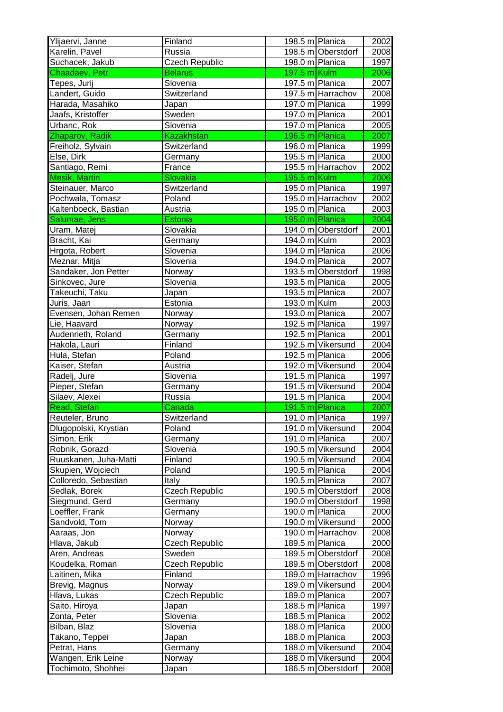| Ylijaervi, Janne      | Finland           | 198.5 m Planica        | 2002 |
|-----------------------|-------------------|------------------------|------|
| Karelin, Pavel        | Russia            | 198.5 m Oberstdorf     | 2008 |
| Suchacek, Jakub       | Czech Republic    | 198.0 m Planica        | 1997 |
| Chaadaev, Petr        | <b>Belarus</b>    | 197.5 m Kulm           | 2006 |
| Tepes, Jurij          | Slovenia          | 197.5 m Planica        | 2007 |
| Landert, Guido        | Switzerland       | 197.5 m Harrachov      | 2008 |
| Harada, Masahiko      | Japan             | 197.0 m Planica        | 1999 |
| Jaafs, Kristoffer     | Sweden            | 197.0 m Planica        | 2001 |
| Urbanc, Rok           | Slovenia          | 197.0 m Planica        | 2005 |
| Zhaparov, Radik       | <b>Kazakhstan</b> | 196.5 m Planica        | 2007 |
| Freiholz, Sylvain     | Switzerland       | 196.0 m Planica        | 1999 |
| Else, Dirk            | Germany           | 195.5 m Planica        | 2000 |
| Santiago, Remi        | France            | 195.5 m Harrachov      | 2002 |
| <b>Mesik, Martin</b>  | Slovakia          | $195.5 \text{ m}$ Kulm | 2006 |
|                       | Switzerland       | 195.0 m Planica        | 1997 |
| Steinauer, Marco      |                   |                        |      |
| Pochwala, Tomasz      | Poland            | 195.0 m Harrachov      | 2002 |
| Kaltenboeck, Bastian  | Austria           | 195.0 m Planica        | 2003 |
| Salumae, Jens         | <b>Estonia</b>    | 195.0 m Planica        | 2004 |
| Uram, Matej           | Slovakia          | 194.0 m Oberstdorf     | 2001 |
| Bracht, Kai           | Germany           | 194.0 m Kulm           | 2003 |
| Hrgota, Robert        | Slovenia          | 194.0 m Planica        | 2006 |
| Meznar, Mitja         | Slovenia          | 194.0 m Planica        | 2007 |
| Sandaker, Jon Petter  | Norway            | 193.5 m Oberstdorf     | 1998 |
| Sinkovec, Jure        | Slovenia          | 193.5 m Planica        | 2005 |
| Takeuchi, Taku        | Japan             | 193.5 m Planica        | 2007 |
| Juris, Jaan           | Estonia           | 193.0 m Kulm           | 2003 |
| Evensen, Johan Remen  | Norway            | 193.0 m Planica        | 2007 |
| Lie, Haavard          | Norway            | 192.5 m Planica        | 1997 |
| Audenrieth, Roland    | Germany           | 192.5 m Planica        | 2001 |
| Hakola, Lauri         | Finland           | 192.5 m Vikersund      | 2004 |
| Hula, Stefan          | Poland            | 192.5 m Planica        | 2006 |
| Kaiser, Stefan        | Austria           | 192.0 m Vikersund      | 2004 |
| Radelj, Jure          | Slovenia          | 191.5 m Planica        | 1997 |
| Pieper, Stefan        | Germany           | 191.5 m Vikersund      | 2004 |
| Silaev, Alexei        | Russia            | 191.5 m Planica        | 2004 |
| Read, Stefan          | Canada            | 191.5 m Planica        | 2007 |
| Reuteler, Bruno       | Switzerland       | 191.0 m Planica        | 1997 |
| Dlugopolski, Krystian | Poland            | 191.0 m Vikersund      | 2004 |
| Simon, Erik           | Germany           | 191.0 m Planica        | 2007 |
| Robnik, Gorazd        | Slovenia          | 190.5 m Vikersund      | 2004 |
| Ruuskanen, Juha-Matti |                   | 190.5 m Vikersund      |      |
|                       | Finland           |                        | 2004 |
| Skupien, Wojciech     | Poland            | 190.5 m Planica        | 2004 |
| Colloredo, Sebastian  | Italy             | 190.5 m Planica        | 2007 |
| Sedlak, Borek         | Czech Republic    | 190.5 m Oberstdorf     | 2008 |
| Siegmund, Gerd        | Germany           | 190.0 m Oberstdorf     | 1998 |
| Loeffler, Frank       | Germany           | 190.0 m Planica        | 2000 |
| Sandvold, Tom         | Norway            | 190.0 m Vikersund      | 2000 |
| Aaraas, Jon           | Norway            | 190.0 m Harrachov      | 2008 |
| Hlava, Jakub          | Czech Republic    | 189.5 m Planica        | 2000 |
| Aren, Andreas         | Sweden            | 189.5 m Oberstdorf     | 2008 |
| Koudelka, Roman       | Czech Republic    | 189.5 m Oberstdorf     | 2008 |
| Laitinen, Mika        | Finland           | 189.0 m Harrachov      | 1996 |
| Brevig, Magnus        | Norway            | 189.0 m Vikersund      | 2004 |
| Hlava, Lukas          | Czech Republic    | 189.0 m Planica        | 2007 |
| Saito, Hiroya         | Japan             | 188.5 m Planica        | 1997 |
| Zonta, Peter          | Slovenia          | 188.5 m Planica        | 2002 |
| Bilban, Blaz          | Slovenia          | 188.0 m Planica        | 2000 |
| Takano, Teppei        | Japan             | 188.0 m Planica        | 2003 |
| Petrat, Hans          | Germany           | 188.0 m Vikersund      | 2004 |
| Wangen, Erik Leine    | Norway            | 188.0 m Vikersund      | 2004 |
| Tochimoto, Shohhei    | Japan             | 186.5 m Oberstdorf     | 2008 |
|                       |                   |                        |      |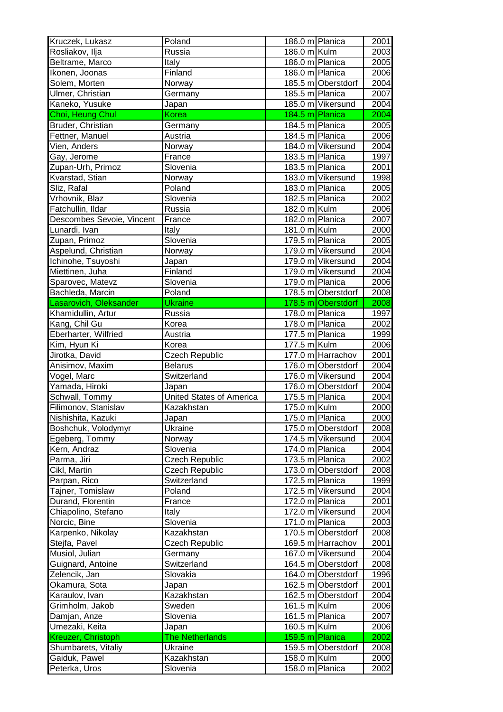| Kruczek, Lukasz           | Poland                          | 186.0 m Planica    | 2001 |
|---------------------------|---------------------------------|--------------------|------|
| Rosliakov, Ilja           | Russia                          | 186.0 m Kulm       | 2003 |
| Beltrame, Marco           | Italy                           | 186.0 m Planica    | 2005 |
| Ikonen, Joonas            | Finland                         | 186.0 m Planica    | 2006 |
| Solem, Morten             | Norway                          | 185.5 m Oberstdorf | 2004 |
| Ulmer, Christian          | Germany                         | 185.5 m Planica    | 2007 |
| Kaneko, Yusuke            | Japan                           | 185.0 m Vikersund  | 2004 |
| Choi, Heung Chul          | <b>Korea</b>                    | 184.5 m Planica    | 2004 |
| Bruder, Christian         | Germany                         | 184.5 m Planica    | 2005 |
| Fettner, Manuel           | Austria                         | 184.5 m Planica    | 2006 |
| Vien, Anders              | Norway                          | 184.0 m Vikersund  | 2004 |
| Gay, Jerome               | France                          | 183.5 m Planica    | 1997 |
| Zupan-Urh, Primoz         | Slovenia                        | 183.5 m Planica    | 2001 |
| Kvarstad, Stian           | Norway                          | 183.0 m Vikersund  | 1998 |
| Sliz, Rafal               | Poland                          | 183.0 m Planica    | 2005 |
| Vrhovnik, Blaz            | Slovenia                        | 182.5 m Planica    | 2002 |
| Fatchullin, Ildar         | Russia                          | 182.0 m Kulm       | 2006 |
| Descombes Sevoie, Vincent | France                          | 182.0 m Planica    | 2007 |
| Lunardi, Ivan             | Italy                           | 181.0 m Kulm       | 2000 |
| Zupan, Primoz             | Slovenia                        | 179.5 m Planica    | 2005 |
| Aspelund, Christian       | Norway                          | 179.0 m Vikersund  | 2004 |
| Ichinohe, Tsuyoshi        | Japan                           | 179.0 m Vikersund  | 2004 |
| Miettinen, Juha           | Finland                         | 179.0 m Vikersund  | 2004 |
| Sparovec, Matevz          | Slovenia                        | 179.0 m Planica    | 2006 |
|                           | Poland                          | 178.5 m Oberstdorf | 2008 |
| Bachleda, Marcin          |                                 |                    |      |
| Lasarovich, Oleksander    | <b>Ukraine</b>                  | 178.5 m Oberstdorf | 2008 |
| Khamidullin, Artur        | Russia                          | 178.0 m Planica    | 1997 |
| Kang, Chil Gu             | Korea                           | 178.0 m Planica    | 2002 |
| Eberharter, Wilfried      | Austria                         | 177.5 m Planica    | 1999 |
| Kim, Hyun Ki              | Korea                           | 177.5 m Kulm       | 2006 |
| Jirotka, David            | Czech Republic                  | 177.0 m Harrachov  | 2001 |
| Anisimov, Maxim           | <b>Belarus</b>                  | 176.0 m Oberstdorf | 2004 |
| Vogel, Marc               | Switzerland                     | 176.0 m Vikersund  | 2004 |
| Yamada, Hiroki            | Japan                           | 176.0 m Oberstdorf | 2004 |
| Schwall, Tommy            | <b>United States of America</b> | 175.5 m Planica    | 2004 |
| Filimonov, Stanislav      | Kazakhstan                      | 175.0 m Kulm       | 2000 |
| Nishishita, Kazuki        | Japan                           | 175.0 m Planica    | 2000 |
| Boshchuk, Volodymyr       | Ukraine                         | 175.0 m Oberstdorf | 2008 |
| Egeberg, Tommy            | Norway                          | 174.5 m Vikersund  | 2004 |
| Kern, Andraz              | Slovenia                        | 174.0 m Planica    | 2004 |
| Parma, Jiri               | Czech Republic                  | 173.5 m Planica    | 2002 |
| Cikl, Martin              | Czech Republic                  | 173.0 m Oberstdorf | 2008 |
| Parpan, Rico              | Switzerland                     | 172.5 m Planica    | 1999 |
| Tajner, Tomislaw          | Poland                          | 172.5 m Vikersund  | 2004 |
| Durand, Florentin         | France                          | 172.0 m Planica    | 2001 |
| Chiapolino, Stefano       | Italy                           | 172.0 m Vikersund  | 2004 |
| Norcic, Bine              | Slovenia                        | 171.0 m Planica    | 2003 |
| Karpenko, Nikolay         | Kazakhstan                      | 170.5 m Oberstdorf | 2008 |
| Stejfa, Pavel             | Czech Republic                  | 169.5 m Harrachov  | 2001 |
| Musiol, Julian            | Germany                         | 167.0 m Vikersund  | 2004 |
| Guignard, Antoine         | Switzerland                     | 164.5 m Oberstdorf | 2008 |
| Zelencik, Jan             | Slovakia                        | 164.0 m Oberstdorf | 1996 |
| Okamura, Sota             | Japan                           | 162.5 m Oberstdorf | 2001 |
| Karaulov, Ivan            | Kazakhstan                      | 162.5 m Oberstdorf | 2004 |
| Grimholm, Jakob           | Sweden                          | 161.5 m Kulm       | 2006 |
| Damjan, Anze              | Slovenia                        | 161.5 m Planica    | 2007 |
| Umezaki, Keita            | Japan                           | 160.5 m Kulm       | 2006 |
| Kreuzer, Christoph        | <b>The Netherlands</b>          | 159.5 m Planica    | 2002 |
| Shumbarets, Vitaliy       | Ukraine                         | 159.5 m Oberstdorf | 2008 |
| Gaiduk, Pawel             | Kazakhstan                      | 158.0 m Kulm       | 2000 |
| Peterka, Uros             | Slovenia                        | 158.0 m Planica    | 2002 |